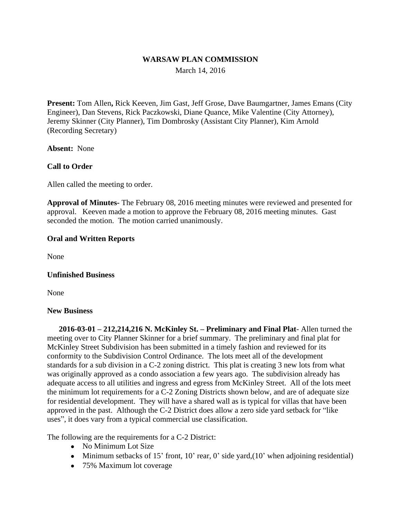## **WARSAW PLAN COMMISSION**

March 14, 2016

**Present:** Tom Allen**,** Rick Keeven, Jim Gast, Jeff Grose, Dave Baumgartner, James Emans (City Engineer), Dan Stevens, Rick Paczkowski, Diane Quance, Mike Valentine (City Attorney), Jeremy Skinner (City Planner), Tim Dombrosky (Assistant City Planner), Kim Arnold (Recording Secretary)

**Absent:** None

## **Call to Order**

Allen called the meeting to order.

**Approval of Minutes-** The February 08, 2016 meeting minutes were reviewed and presented for approval. Keeven made a motion to approve the February 08, 2016 meeting minutes. Gast seconded the motion. The motion carried unanimously.

## **Oral and Written Reports**

None

#### **Unfinished Business**

None

#### **New Business**

**2016-03-01 – 212,214,216 N. McKinley St. – Preliminary and Final Plat**- Allen turned the meeting over to City Planner Skinner for a brief summary. The preliminary and final plat for McKinley Street Subdivision has been submitted in a timely fashion and reviewed for its conformity to the Subdivision Control Ordinance. The lots meet all of the development standards for a sub division in a C-2 zoning district. This plat is creating 3 new lots from what was originally approved as a condo association a few years ago. The subdivision already has adequate access to all utilities and ingress and egress from McKinley Street. All of the lots meet the minimum lot requirements for a C-2 Zoning Districts shown below, and are of adequate size for residential development. They will have a shared wall as is typical for villas that have been approved in the past. Although the C-2 District does allow a zero side yard setback for "like uses", it does vary from a typical commercial use classification.

The following are the requirements for a C-2 District:

- No Minimum Lot Size
- Minimum setbacks of 15' front, 10' rear, 0' side yard, (10' when adjoining residential)
- 75% Maximum lot coverage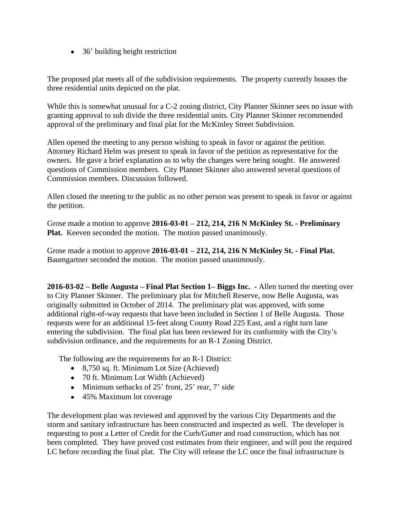• 36' building height restriction

The proposed plat meets all of the subdivision requirements. The property currently houses the three residential units depicted on the plat.

While this is somewhat unusual for a C-2 zoning district, City Planner Skinner sees no issue with granting approval to sub divide the three residential units. City Planner Skinner recommended approval of the preliminary and final plat for the McKinley Street Subdivision.

Allen opened the meeting to any person wishing to speak in favor or against the petition. Attorney Richard Helm was present to speak in favor of the petition as representative for the owners. He gave a brief explanation as to why the changes were being sought. He answered questions of Commission members. City Planner Skinner also answered several questions of Commission members. Discussion followed.

Allen closed the meeting to the public as no other person was present to speak in favor or against the petition.

Grose made a motion to approve **2016-03-01 – 212, 214, 216 N McKinley St. - Preliminary Plat.** Keeven seconded the motion. The motion passed unanimously.

Grose made a motion to approve **2016-03-01 – 212, 214, 216 N McKinley St. - Final Plat.** Baumgartner seconded the motion. The motion passed unanimously.

**2016-03-02 – Belle Augusta – Final Plat Section 1– Biggs Inc. -** Allen turned the meeting over to City Planner Skinner. The preliminary plat for Mitchell Reserve, now Belle Augusta, was originally submitted in October of 2014. The preliminary plat was approved, with some additional right-of-way requests that have been included in Section 1 of Belle Augusta. Those requests were for an additional 15-feet along County Road 225 East, and a right turn lane entering the subdivision. The final plat has been reviewed for its conformity with the City's subdivision ordinance, and the requirements for an R-1 Zoning District.

The following are the requirements for an R-1 District:

- 8,750 sq. ft. Minimum Lot Size (Achieved)
- 70 ft. Minimum Lot Width (Achieved)
- $\bullet$  Minimum setbacks of 25' front, 25' rear, 7' side
- 45% Maximum lot coverage

The development plan was reviewed and approved by the various City Departments and the storm and sanitary infrastructure has been constructed and inspected as well. The developer is requesting to post a Letter of Credit for the Curb/Gutter and road construction, which has not been completed. They have proved cost estimates from their engineer, and will post the required LC before recording the final plat. The City will release the LC once the final infrastructure is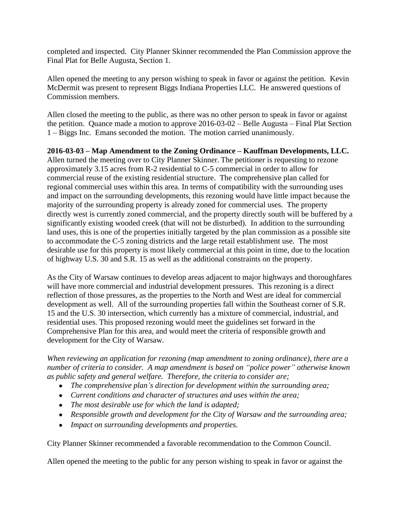completed and inspected. City Planner Skinner recommended the Plan Commission approve the Final Plat for Belle Augusta, Section 1.

Allen opened the meeting to any person wishing to speak in favor or against the petition. Kevin McDermit was present to represent Biggs Indiana Properties LLC. He answered questions of Commission members.

Allen closed the meeting to the public, as there was no other person to speak in favor or against the petition. Quance made a motion to approve 2016-03-02 – Belle Augusta – Final Plat Section 1 – Biggs Inc. Emans seconded the motion. The motion carried unanimously.

**2016-03-03 – Map Amendment to the Zoning Ordinance – Kauffman Developments, LLC.** Allen turned the meeting over to City Planner Skinner. The petitioner is requesting to rezone approximately 3.15 acres from R-2 residential to C-5 commercial in order to allow for commercial reuse of the existing residential structure. The comprehensive plan called for regional commercial uses within this area. In terms of compatibility with the surrounding uses and impact on the surrounding developments, this rezoning would have little impact because the majority of the surrounding property is already zoned for commercial uses. The property directly west is currently zoned commercial, and the property directly south will be buffered by a significantly existing wooded creek (that will not be disturbed). In addition to the surrounding land uses, this is one of the properties initially targeted by the plan commission as a possible site to accommodate the C-5 zoning districts and the large retail establishment use. The most desirable use for this property is most likely commercial at this point in time, due to the location of highway U.S. 30 and S.R. 15 as well as the additional constraints on the property.

As the City of Warsaw continues to develop areas adjacent to major highways and thoroughfares will have more commercial and industrial development pressures. This rezoning is a direct reflection of those pressures, as the properties to the North and West are ideal for commercial development as well. All of the surrounding properties fall within the Southeast corner of S.R. 15 and the U.S. 30 intersection, which currently has a mixture of commercial, industrial, and residential uses. This proposed rezoning would meet the guidelines set forward in the Comprehensive Plan for this area, and would meet the criteria of responsible growth and development for the City of Warsaw.

*When reviewing an application for rezoning (map amendment to zoning ordinance), there are a number of criteria to consider. A map amendment is based on "police power" otherwise known as public safety and general welfare. Therefore, the criteria to consider are;* 

- *The comprehensive plan's direction for development within the surrounding area;*
- *Current conditions and character of structures and uses within the area;*
- *The most desirable use for which the land is adapted;*
- *Responsible growth and development for the City of Warsaw and the surrounding area;*
- *Impact on surrounding developments and properties.*

City Planner Skinner recommended a favorable recommendation to the Common Council.

Allen opened the meeting to the public for any person wishing to speak in favor or against the